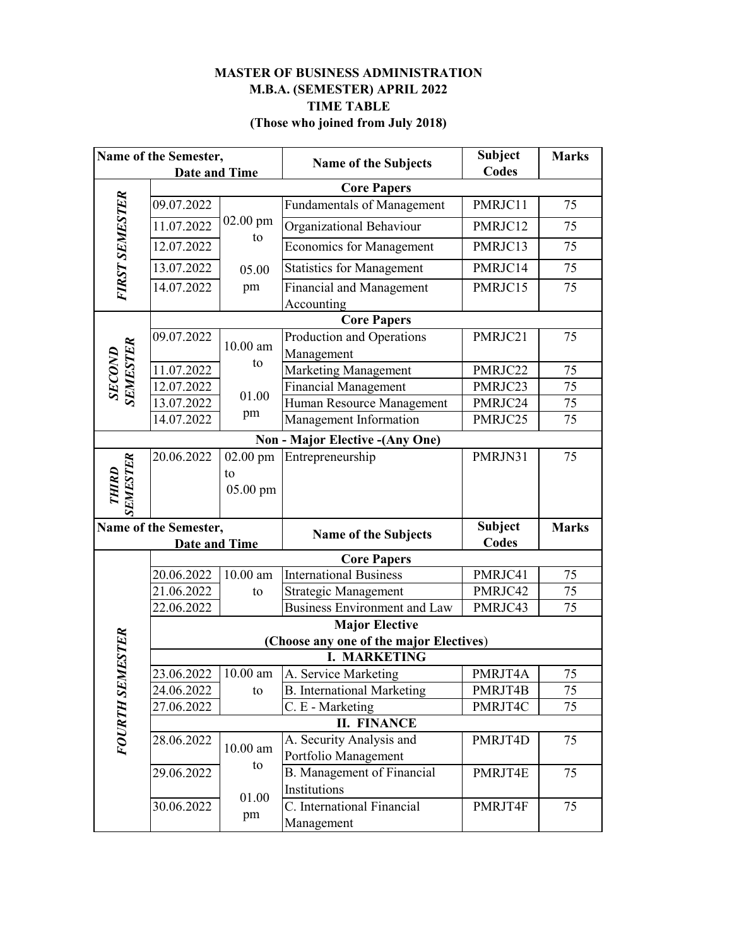## **MASTER OF BUSINESS ADMINISTRATION TIME TABLE (Those who joined from July 2018) M.B.A. (SEMESTER) APRIL 2022**

| Name of the Semester,    |                                                                |                  | <b>Name of the Subjects</b>             | <b>Subject</b> | <b>Marks</b> |  |  |  |
|--------------------------|----------------------------------------------------------------|------------------|-----------------------------------------|----------------|--------------|--|--|--|
| <b>Date and Time</b>     |                                                                |                  |                                         | <b>Codes</b>   |              |  |  |  |
|                          |                                                                |                  | <b>Core Papers</b>                      |                |              |  |  |  |
| FIRST SEMESTER           | 09.07.2022                                                     |                  | <b>Fundamentals of Management</b>       | PMRJC11        | 75           |  |  |  |
|                          | 11.07.2022                                                     | $02.00$ pm<br>to | Organizational Behaviour                | PMRJC12        | 75           |  |  |  |
|                          | 12.07.2022                                                     |                  | <b>Economics for Management</b>         | PMRJC13        | 75           |  |  |  |
|                          | 13.07.2022                                                     | 05.00            | <b>Statistics for Management</b>        | PMRJC14        | 75           |  |  |  |
|                          | 14.07.2022                                                     | pm               | <b>Financial and Management</b>         | PMRJC15        | 75           |  |  |  |
|                          |                                                                |                  | Accounting                              |                |              |  |  |  |
|                          |                                                                |                  | <b>Core Papers</b>                      |                |              |  |  |  |
|                          | 09.07.2022                                                     | $10.00$ am       | Production and Operations               | PMRJC21        | 75           |  |  |  |
| SECOND<br>SEMESTER       |                                                                | to               | Management                              |                |              |  |  |  |
|                          | 11.07.2022                                                     |                  | <b>Marketing Management</b>             | PMRJC22        | 75           |  |  |  |
|                          | 12.07.2022                                                     | 01.00            | <b>Financial Management</b>             | PMRJC23        | 75           |  |  |  |
|                          | 13.07.2022<br>14.07.2022                                       | pm               | Human Resource Management               | PMRJC24        | 75<br>75     |  |  |  |
|                          |                                                                |                  | Management Information                  | PMRJC25        |              |  |  |  |
|                          |                                                                |                  | <b>Non - Major Elective - (Any One)</b> |                |              |  |  |  |
|                          | 20.06.2022                                                     | 02.00 pm         | Entrepreneurship                        | PMRJN31        | 75           |  |  |  |
|                          |                                                                | to               |                                         |                |              |  |  |  |
| <b>SEMESTER</b><br>THIRD |                                                                | 05.00 pm         |                                         |                |              |  |  |  |
|                          |                                                                |                  |                                         |                |              |  |  |  |
| Name of the Semester,    |                                                                |                  | <b>Name of the Subjects</b>             | <b>Subject</b> | <b>Marks</b> |  |  |  |
|                          | <b>Date and Time</b>                                           |                  |                                         | Codes          |              |  |  |  |
|                          |                                                                |                  | <b>Core Papers</b>                      |                |              |  |  |  |
|                          | 20.06.2022                                                     | $10.00$ am       | <b>International Business</b>           | PMRJC41        | 75           |  |  |  |
|                          | 21.06.2022                                                     | to               | <b>Strategic Management</b>             | PMRJC42        | 75           |  |  |  |
|                          | 22.06.2022                                                     |                  | <b>Business Environment and Law</b>     | PMRJC43        | 75           |  |  |  |
|                          | <b>Major Elective</b>                                          |                  |                                         |                |              |  |  |  |
| MESTER                   | (Choose any one of the major Electives)<br><b>I. MARKETING</b> |                  |                                         |                |              |  |  |  |
|                          | 23.06.2022                                                     | $10.00$ am       | A. Service Marketing                    | PMRJT4A        | 75           |  |  |  |
| <b>FOURTH SE</b>         | 24.06.2022                                                     | to               | <b>B.</b> International Marketing       | PMRJT4B        | 75           |  |  |  |
|                          | 27.06.2022                                                     |                  | C. E - Marketing                        | PMRJT4C        | 75           |  |  |  |
|                          | <b>II. FINANCE</b>                                             |                  |                                         |                |              |  |  |  |
|                          | 28.06.2022                                                     | $10.00$ am<br>to | A. Security Analysis and                | PMRJT4D        | 75           |  |  |  |
|                          |                                                                |                  | Portfolio Management                    |                |              |  |  |  |
|                          | 29.06.2022                                                     |                  | B. Management of Financial              | PMRJT4E        | 75           |  |  |  |
|                          |                                                                |                  | Institutions                            |                |              |  |  |  |
|                          | 30.06.2022                                                     | 01.00            | C. International Financial              |                |              |  |  |  |
|                          |                                                                | pm               |                                         | PMRJT4F        | 75           |  |  |  |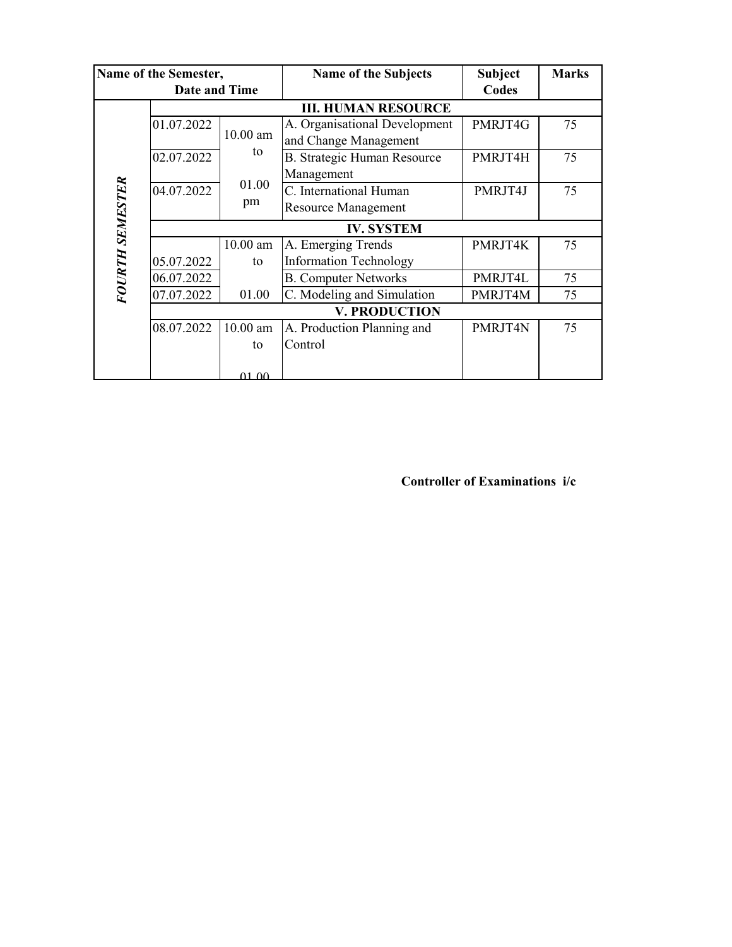| Name of the Semester, |                            |              | <b>Name of the Subjects</b>        | <b>Subject</b> | <b>Marks</b> |  |  |  |
|-----------------------|----------------------------|--------------|------------------------------------|----------------|--------------|--|--|--|
| <b>Date and Time</b>  |                            |              |                                    | Codes          |              |  |  |  |
| FOURTH SEMESTER       | <b>III. HUMAN RESOURCE</b> |              |                                    |                |              |  |  |  |
|                       | 01.07.2022                 |              | A. Organisational Development      | PMRJT4G        | 75           |  |  |  |
|                       |                            | $10.00$ am   | and Change Management              |                |              |  |  |  |
|                       | 02.07.2022                 | to           | <b>B. Strategic Human Resource</b> | PMRJT4H        | 75           |  |  |  |
|                       |                            | 01.00<br>pm  | Management                         |                |              |  |  |  |
|                       | 04.07.2022                 |              | C. International Human             | PMRJT4J        | 75           |  |  |  |
|                       |                            |              | <b>Resource Management</b>         |                |              |  |  |  |
|                       | <b>IV. SYSTEM</b>          |              |                                    |                |              |  |  |  |
|                       |                            | $10.00$ am   | A. Emerging Trends                 | PMRJT4K        | 75           |  |  |  |
|                       | 05.07.2022                 | to           | <b>Information Technology</b>      |                |              |  |  |  |
|                       | 06.07.2022                 |              | <b>B. Computer Networks</b>        | PMRJT4L        | 75           |  |  |  |
|                       | 07.07.2022                 | 01.00        | C. Modeling and Simulation         | PMRJT4M        | 75           |  |  |  |
|                       | <b>V. PRODUCTION</b>       |              |                                    |                |              |  |  |  |
|                       | 08.07.2022                 | $10.00$ am   | A. Production Planning and         | PMRJT4N        | 75           |  |  |  |
|                       |                            | to           | Control                            |                |              |  |  |  |
|                       |                            |              |                                    |                |              |  |  |  |
|                       |                            | <u>በ1 በበ</u> |                                    |                |              |  |  |  |

 **Controller of Examinations i/c**